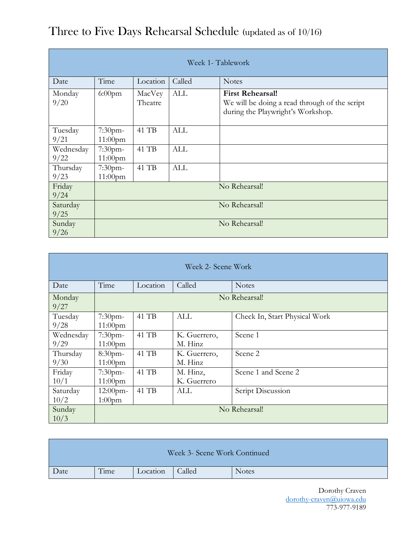| Week 1- Tablework |                          |                   |            |                                                                                                               |  |
|-------------------|--------------------------|-------------------|------------|---------------------------------------------------------------------------------------------------------------|--|
| Date              | Time                     | Location          | Called     | <b>Notes</b>                                                                                                  |  |
| Monday<br>9/20    | $6:00$ pm                | MacVey<br>Theatre | ALL        | <b>First Rehearsal!</b><br>We will be doing a read through of the script<br>during the Playwright's Workshop. |  |
| Tuesday<br>9/21   | $7:30$ pm-<br>$11:00$ pm | 41 TB             | <b>ALL</b> |                                                                                                               |  |
| Wednesday<br>9/22 | 7:30pm-<br>$11:00$ pm    | 41 TB             | <b>ALL</b> |                                                                                                               |  |
| Thursday<br>9/23  | 7:30pm-<br>$11:00$ pm    | 41 TB             | <b>ALL</b> |                                                                                                               |  |
| Friday<br>9/24    | No Rehearsal!            |                   |            |                                                                                                               |  |
| Saturday<br>9/25  | No Rehearsal!            |                   |            |                                                                                                               |  |
| Sunday<br>9/26    | No Rehearsal!            |                   |            |                                                                                                               |  |

## Three to Five Days Rehearsal Schedule (updated as of 10/16)

| Week 2- Scene Work |                          |          |                         |                               |  |
|--------------------|--------------------------|----------|-------------------------|-------------------------------|--|
| Date               | Time                     | Location | Called                  | <b>Notes</b>                  |  |
| Monday<br>9/27     | No Rehearsal!            |          |                         |                               |  |
| Tuesday<br>9/28    | $7:30$ pm-<br>$11:00$ pm | 41 TB    | ALL                     | Check In, Start Physical Work |  |
| Wednesday<br>9/29  | $7:30$ pm-<br>$11:00$ pm | 41 TB    | K. Guerrero,<br>M. Hinz | Scene 1                       |  |
| Thursday<br>9/30   | 8:30pm-<br>$11:00$ pm    | 41 TB    | K. Guerrero,<br>M. Hinz | Scene 2                       |  |
| Friday<br>10/1     | $7:30$ pm-<br>$11:00$ pm | 41 TB    | M. Hinz,<br>K. Guerrero | Scene 1 and Scene 2           |  |
| Saturday<br>10/2   | $12:00$ pm-<br>$1:00$ pm | 41 TB    | ALL                     | Script Discussion             |  |
| Sunday<br>10/3     | No Rehearsal!            |          |                         |                               |  |

| Week 3- Scene Work Continued |      |          |        |              |  |  |
|------------------------------|------|----------|--------|--------------|--|--|
| Date                         | Time | Location | Called | <b>Notes</b> |  |  |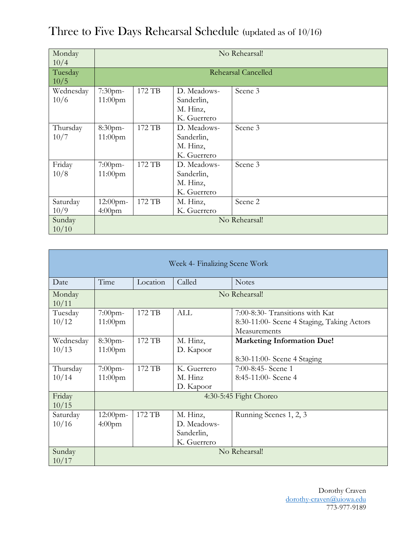| Monday    | No Rehearsal! |        |             |                     |  |
|-----------|---------------|--------|-------------|---------------------|--|
| 10/4      |               |        |             |                     |  |
| Tuesday   |               |        |             | Rehearsal Cancelled |  |
| 10/5      |               |        |             |                     |  |
| Wednesday | 7:30pm-       | 172 TB | D. Meadows- | Scene 3             |  |
| 10/6      | $11:00$ pm    |        | Sanderlin,  |                     |  |
|           |               |        | M. Hinz,    |                     |  |
|           |               |        | K. Guerrero |                     |  |
| Thursday  | 8:30pm-       | 172 TB | D. Meadows- | Scene 3             |  |
| 10/7      | $11:00$ pm    |        | Sanderlin,  |                     |  |
|           |               |        | M. Hinz,    |                     |  |
|           |               |        | K. Guerrero |                     |  |
| Friday    | $7:00$ pm-    | 172 TB | D. Meadows- | Scene 3             |  |
| 10/8      | $11:00$ pm    |        | Sanderlin,  |                     |  |
|           |               |        | M. Hinz,    |                     |  |
|           |               |        | K. Guerrero |                     |  |
| Saturday  | 12:00pm-      | 172 TB | M. Hinz,    | Scene 2             |  |
| 10/9      | $4:00$ pm     |        | K. Guerrero |                     |  |
| Sunday    | No Rehearsal! |        |             |                     |  |
| 10/10     |               |        |             |                     |  |

Three to Five Days Rehearsal Schedule (updated as of 10/16)

| Week 4- Finalizing Scene Work |                                |                    |                                                      |                                                                                               |  |
|-------------------------------|--------------------------------|--------------------|------------------------------------------------------|-----------------------------------------------------------------------------------------------|--|
| Date                          | Time                           | Location<br>Called |                                                      | <b>Notes</b>                                                                                  |  |
| Monday<br>10/11               | No Rehearsal!                  |                    |                                                      |                                                                                               |  |
| Tuesday<br>10/12              | $7:00$ pm-<br>$11:00$ pm       | 172 TB             | <b>ALL</b>                                           | 7:00-8:30- Transitions with Kat<br>8:30-11:00- Scene 4 Staging, Taking Actors<br>Measurements |  |
| Wednesday<br>10/13            | 8:30pm-<br>$11:00$ pm          | 172 TB             | M. Hinz,<br>D. Kapoor                                | <b>Marketing Information Due!</b><br>8:30-11:00- Scene 4 Staging                              |  |
| Thursday<br>10/14             | $7:00$ pm-<br>$11:00$ pm       | 172 TB             | K. Guerrero<br>M. Hinz<br>D. Kapoor                  | 7:00-8:45- Scene 1<br>8:45-11:00- Scene 4                                                     |  |
| Friday<br>10/15               | 4:30-5:45 Fight Choreo         |                    |                                                      |                                                                                               |  |
| Saturday<br>10/16             | 12:00pm-<br>4:00 <sub>pm</sub> | 172 TB             | M. Hinz,<br>D. Meadows-<br>Sanderlin,<br>K. Guerrero | Running Scenes 1, 2, 3                                                                        |  |
| Sunday<br>10/17               | No Rehearsal!                  |                    |                                                      |                                                                                               |  |